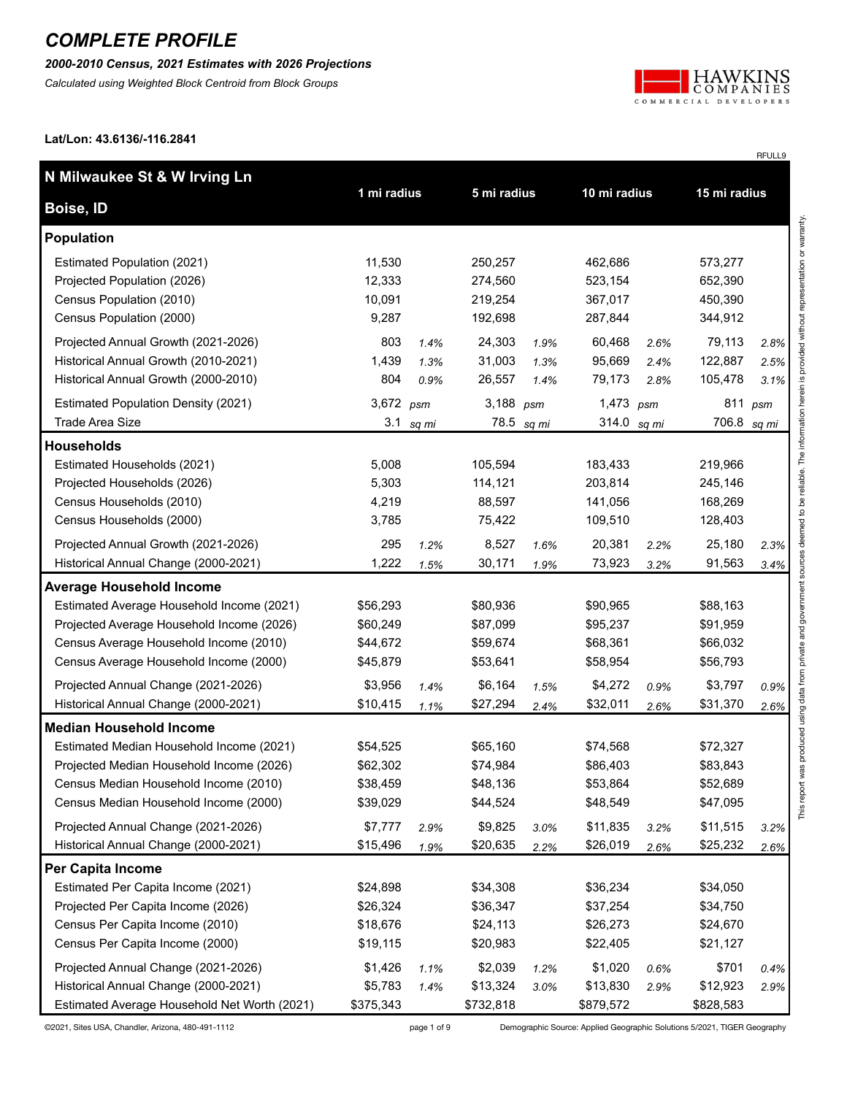*2000-2010 Census, 2021 Estimates with 2026 Projections*

*Calculated using Weighted Block Centroid from Block Groups*



RFULL9

**Lat/Lon: 43.6136/-116.2841**

| N Milwaukee St & W Irving Ln                 |             |       |             |            |              |      | 15 mi radius |       |
|----------------------------------------------|-------------|-------|-------------|------------|--------------|------|--------------|-------|
| Boise, ID                                    | 1 mi radius |       | 5 mi radius |            | 10 mi radius |      |              |       |
| <b>Population</b>                            |             |       |             |            |              |      |              |       |
| Estimated Population (2021)                  | 11,530      |       | 250,257     |            | 462,686      |      | 573,277      |       |
| Projected Population (2026)                  | 12,333      |       | 274,560     |            | 523,154      |      | 652,390      |       |
| Census Population (2010)                     | 10,091      |       | 219,254     |            | 367,017      |      | 450,390      |       |
| Census Population (2000)                     | 9,287       |       | 192,698     |            | 287,844      |      | 344,912      |       |
| Projected Annual Growth (2021-2026)          | 803         | 1.4%  | 24,303      | 1.9%       | 60,468       | 2.6% | 79,113       | 2.8%  |
| Historical Annual Growth (2010-2021)         | 1,439       | 1.3%  | 31,003      | 1.3%       | 95,669       | 2.4% | 122,887      | 2.5%  |
| Historical Annual Growth (2000-2010)         | 804         | 0.9%  | 26,557      | 1.4%       | 79,173       | 2.8% | 105,478      | 3.1%  |
| <b>Estimated Population Density (2021)</b>   | 3,672 psm   |       | 3,188 $psm$ |            | 1,473 $psm$  |      | 811          | psm   |
| <b>Trade Area Size</b>                       | 3.1         | sq mi |             | 78.5 sq mi | 314.0 sq mi  |      | 706.8        | sq mi |
| <b>Households</b>                            |             |       |             |            |              |      |              |       |
| Estimated Households (2021)                  | 5,008       |       | 105,594     |            | 183,433      |      | 219,966      |       |
| Projected Households (2026)                  | 5,303       |       | 114,121     |            | 203,814      |      | 245,146      |       |
| Census Households (2010)                     | 4,219       |       | 88,597      |            | 141,056      |      | 168,269      |       |
| Census Households (2000)                     | 3,785       |       | 75,422      |            | 109,510      |      | 128,403      |       |
| Projected Annual Growth (2021-2026)          | 295         | 1.2%  | 8,527       | 1.6%       | 20,381       | 2.2% | 25,180       | 2.3%  |
| Historical Annual Change (2000-2021)         | 1,222       | 1.5%  | 30,171      | 1.9%       | 73,923       | 3.2% | 91,563       | 3.4%  |
| <b>Average Household Income</b>              |             |       |             |            |              |      |              |       |
| Estimated Average Household Income (2021)    | \$56,293    |       | \$80,936    |            | \$90,965     |      | \$88,163     |       |
| Projected Average Household Income (2026)    | \$60,249    |       | \$87,099    |            | \$95,237     |      | \$91,959     |       |
| Census Average Household Income (2010)       | \$44,672    |       | \$59,674    |            | \$68,361     |      | \$66,032     |       |
| Census Average Household Income (2000)       | \$45,879    |       | \$53,641    |            | \$58,954     |      | \$56,793     |       |
| Projected Annual Change (2021-2026)          | \$3,956     | 1.4%  | \$6,164     | 1.5%       | \$4,272      | 0.9% | \$3,797      | 0.9%  |
| Historical Annual Change (2000-2021)         | \$10,415    | 1.1%  | \$27,294    | 2.4%       | \$32,011     | 2.6% | \$31,370     | 2.6%  |
| <b>Median Household Income</b>               |             |       |             |            |              |      |              |       |
| Estimated Median Household Income (2021)     | \$54,525    |       | \$65,160    |            | \$74,568     |      | \$72,327     |       |
| Projected Median Household Income (2026)     | \$62,302    |       | \$74,984    |            | \$86,403     |      | \$83,843     |       |
| Census Median Household Income (2010)        | \$38,459    |       | \$48,136    |            | \$53,864     |      | \$52,689     |       |
| Census Median Household Income (2000)        | \$39,029    |       | \$44,524    |            | \$48,549     |      | \$47,095     |       |
| Projected Annual Change (2021-2026)          | \$7,777     | 2.9%  | \$9,825     | 3.0%       | \$11,835     | 3.2% | \$11,515     | 3.2%  |
| Historical Annual Change (2000-2021)         | \$15,496    | 1.9%  | \$20,635    | 2.2%       | \$26,019     | 2.6% | \$25,232     | 2.6%  |
| <b>Per Capita Income</b>                     |             |       |             |            |              |      |              |       |
| Estimated Per Capita Income (2021)           | \$24,898    |       | \$34,308    |            | \$36,234     |      | \$34,050     |       |
| Projected Per Capita Income (2026)           | \$26,324    |       | \$36,347    |            | \$37,254     |      | \$34,750     |       |
| Census Per Capita Income (2010)              | \$18,676    |       | \$24,113    |            | \$26,273     |      | \$24,670     |       |
| Census Per Capita Income (2000)              | \$19,115    |       | \$20,983    |            | \$22,405     |      | \$21,127     |       |
| Projected Annual Change (2021-2026)          | \$1,426     | 1.1%  | \$2,039     | 1.2%       | \$1,020      | 0.6% | \$701        | 0.4%  |
| Historical Annual Change (2000-2021)         | \$5,783     | 1.4%  | \$13,324    | 3.0%       | \$13,830     | 2.9% | \$12,923     | 2.9%  |
| Estimated Average Household Net Worth (2021) | \$375,343   |       | \$732,818   |            | \$879,572    |      | \$828,583    |       |

©2021, Sites USA, Chandler, Arizona, 480-491-1112 page 1 of 9 Demographic Source: Applied Geographic Solutions 5/2021, TIGER Geography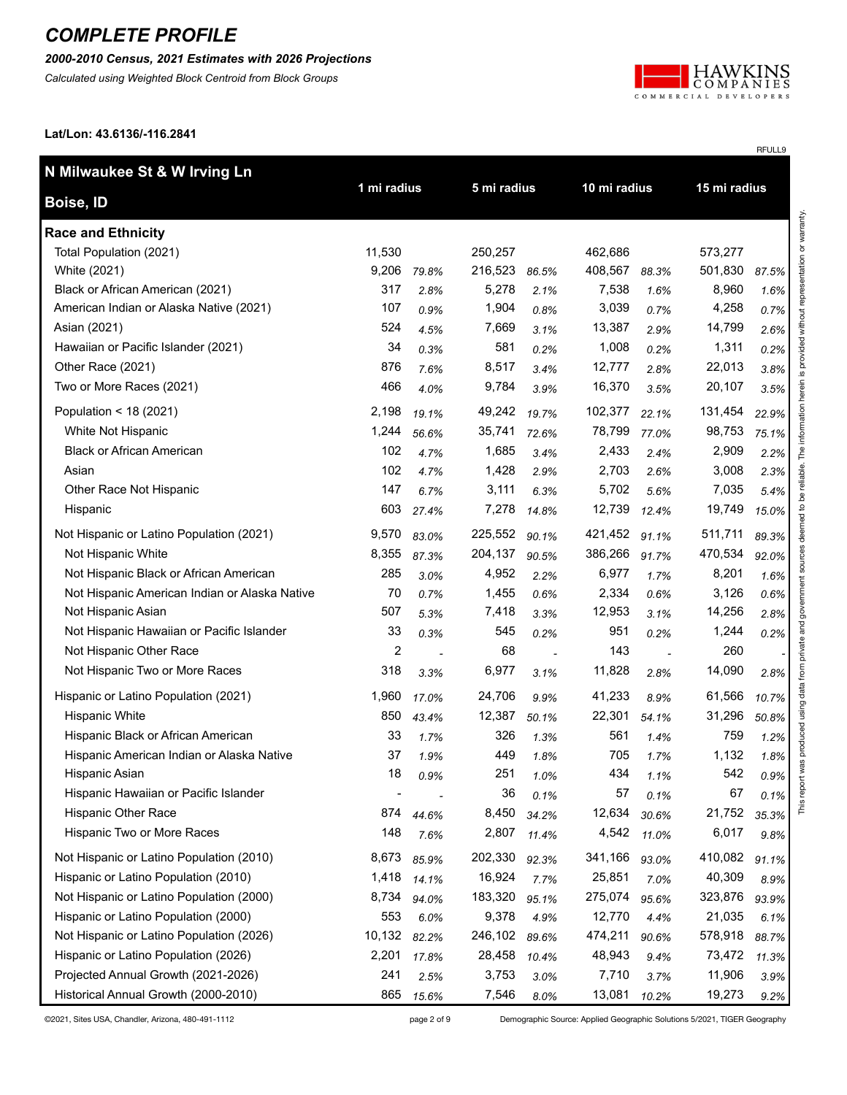#### *2000-2010 Census, 2021 Estimates with 2026 Projections*

*Calculated using Weighted Block Centroid from Block Groups*



RFULL9

**Lat/Lon: 43.6136/-116.2841**

| N Milwaukee St & W Irving Ln                  |                |       |             |       |              |       |              |       |
|-----------------------------------------------|----------------|-------|-------------|-------|--------------|-------|--------------|-------|
| Boise, ID                                     | 1 mi radius    |       | 5 mi radius |       | 10 mi radius |       | 15 mi radius |       |
| <b>Race and Ethnicity</b>                     |                |       |             |       |              |       |              |       |
| Total Population (2021)                       | 11,530         |       | 250,257     |       | 462,686      |       | 573,277      |       |
| White (2021)                                  | 9,206          | 79.8% | 216,523     | 86.5% | 408,567      | 88.3% | 501,830      | 87.5% |
| Black or African American (2021)              | 317            | 2.8%  | 5,278       | 2.1%  | 7,538        | 1.6%  | 8,960        | 1.6%  |
| American Indian or Alaska Native (2021)       | 107            | 0.9%  | 1,904       | 0.8%  | 3,039        | 0.7%  | 4,258        | 0.7%  |
| Asian (2021)                                  | 524            | 4.5%  | 7,669       | 3.1%  | 13,387       | 2.9%  | 14,799       | 2.6%  |
| Hawaiian or Pacific Islander (2021)           | 34             | 0.3%  | 581         | 0.2%  | 1,008        | 0.2%  | 1,311        | 0.2%  |
| Other Race (2021)                             | 876            | 7.6%  | 8,517       | 3.4%  | 12,777       | 2.8%  | 22,013       | 3.8%  |
| Two or More Races (2021)                      | 466            | 4.0%  | 9,784       | 3.9%  | 16,370       | 3.5%  | 20,107       | 3.5%  |
| Population < 18 (2021)                        | 2,198          | 19.1% | 49,242      | 19.7% | 102,377      | 22.1% | 131,454      | 22.9% |
| White Not Hispanic                            | 1,244          | 56.6% | 35,741      | 72.6% | 78,799       | 77.0% | 98,753       | 75.1% |
| <b>Black or African American</b>              | 102            | 4.7%  | 1,685       | 3.4%  | 2,433        | 2.4%  | 2,909        | 2.2%  |
| Asian                                         | 102            | 4.7%  | 1,428       | 2.9%  | 2,703        | 2.6%  | 3,008        | 2.3%  |
| Other Race Not Hispanic                       | 147            | 6.7%  | 3,111       | 6.3%  | 5,702        | 5.6%  | 7,035        | 5.4%  |
| Hispanic                                      | 603            | 27.4% | 7,278       | 14.8% | 12,739       | 12.4% | 19,749       | 15.0% |
| Not Hispanic or Latino Population (2021)      | 9,570          | 83.0% | 225,552     | 90.1% | 421,452      | 91.1% | 511,711      | 89.3% |
| Not Hispanic White                            | 8,355          | 87.3% | 204,137     | 90.5% | 386,266      | 91.7% | 470,534      | 92.0% |
| Not Hispanic Black or African American        | 285            | 3.0%  | 4,952       | 2.2%  | 6,977        | 1.7%  | 8,201        | 1.6%  |
| Not Hispanic American Indian or Alaska Native | 70             | 0.7%  | 1,455       | 0.6%  | 2,334        | 0.6%  | 3,126        | 0.6%  |
| Not Hispanic Asian                            | 507            | 5.3%  | 7,418       | 3.3%  | 12,953       | 3.1%  | 14,256       | 2.8%  |
| Not Hispanic Hawaiian or Pacific Islander     | 33             | 0.3%  | 545         | 0.2%  | 951          | 0.2%  | 1,244        | 0.2%  |
| Not Hispanic Other Race                       | $\overline{2}$ |       | 68          |       | 143          |       | 260          |       |
| Not Hispanic Two or More Races                | 318            | 3.3%  | 6,977       | 3.1%  | 11,828       | 2.8%  | 14,090       | 2.8%  |
| Hispanic or Latino Population (2021)          | 1,960          | 17.0% | 24,706      | 9.9%  | 41,233       | 8.9%  | 61,566       | 10.7% |
| <b>Hispanic White</b>                         | 850            | 43.4% | 12,387      | 50.1% | 22,301       | 54.1% | 31,296       | 50.8% |
| Hispanic Black or African American            | 33             | 1.7%  | 326         | 1.3%  | 561          | 1.4%  | 759          | 1.2%  |
| Hispanic American Indian or Alaska Native     | 37             | 1.9%  | 449         | 1.8%  | 705          | 1.7%  | 1,132        | 1.8%  |
| Hispanic Asian                                | 18             | 0.9%  | 251         | 1.0%  | 434          | 1.1%  | 542          | 0.9%  |
| Hispanic Hawaiian or Pacific Islander         |                |       | 36          | 0.1%  | 57           | 0.1%  | 67           | 0.1%  |
| <b>Hispanic Other Race</b>                    | 874            | 44.6% | 8,450       | 34.2% | 12,634       | 30.6% | 21,752       | 35.3% |
| Hispanic Two or More Races                    | 148            | 7.6%  | 2,807       | 11.4% | 4,542        | 11.0% | 6,017        | 9.8%  |
| Not Hispanic or Latino Population (2010)      | 8,673          | 85.9% | 202,330     | 92.3% | 341,166      | 93.0% | 410,082      | 91.1% |
| Hispanic or Latino Population (2010)          | 1,418          | 14.1% | 16,924      | 7.7%  | 25,851       | 7.0%  | 40,309       | 8.9%  |
| Not Hispanic or Latino Population (2000)      | 8,734          | 94.0% | 183,320     | 95.1% | 275,074      | 95.6% | 323,876      | 93.9% |
| Hispanic or Latino Population (2000)          | 553            | 6.0%  | 9,378       | 4.9%  | 12,770       | 4.4%  | 21,035       | 6.1%  |
| Not Hispanic or Latino Population (2026)      | 10,132         | 82.2% | 246,102     | 89.6% | 474,211      | 90.6% | 578,918      | 88.7% |
| Hispanic or Latino Population (2026)          | 2,201          | 17.8% | 28,458      | 10.4% | 48,943       | 9.4%  | 73,472       | 11.3% |
| Projected Annual Growth (2021-2026)           | 241            | 2.5%  | 3,753       | 3.0%  | 7,710        | 3.7%  | 11,906       | 3.9%  |
| Historical Annual Growth (2000-2010)          | 865            | 15.6% | 7,546       | 8.0%  | 13,081       | 10.2% | 19,273       | 9.2%  |

©2021, Sites USA, Chandler, Arizona, 480-491-1112 page 2 of 9 Demographic Source: Applied Geographic Solutions 5/2021, TIGER Geography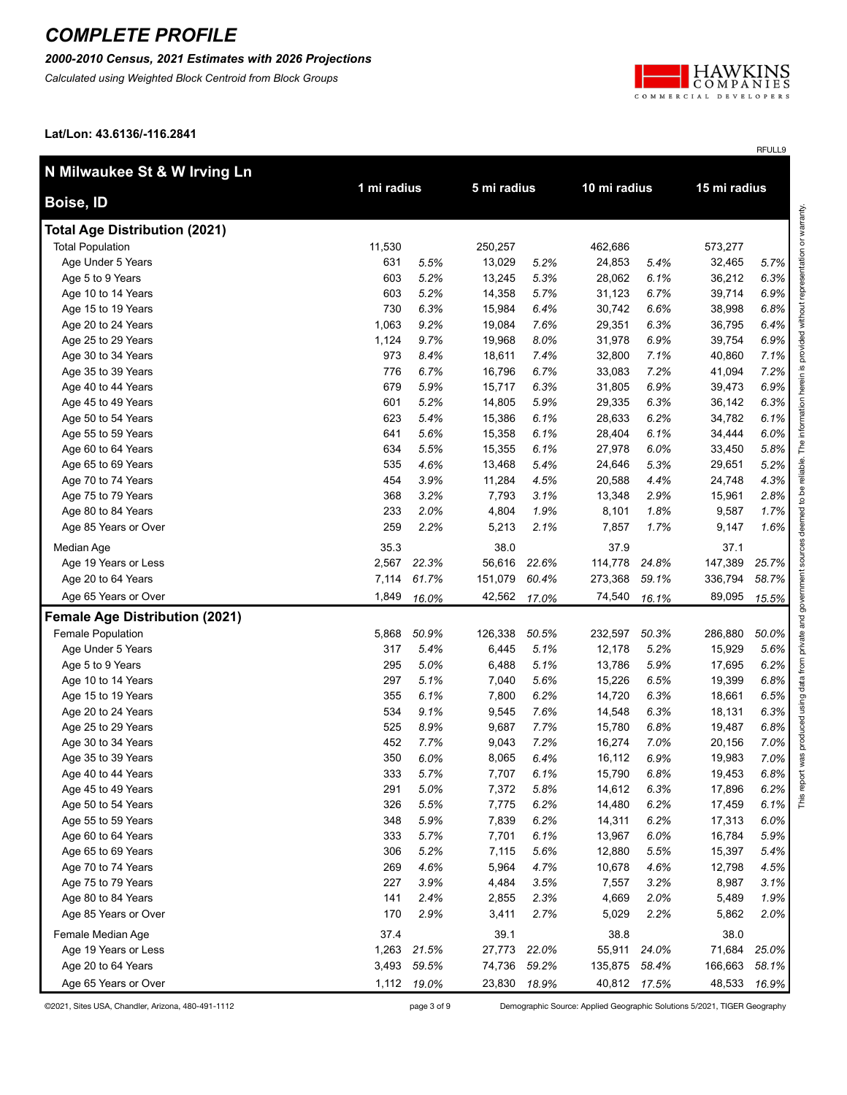### *2000-2010 Census, 2021 Estimates with 2026 Projections*

*Calculated using Weighted Block Centroid from Block Groups*



RFULL9

**Lat/Lon: 43.6136/-116.2841**

| N Milwaukee St & W Irving Ln          |             |             |              |       |              |       |              |       |
|---------------------------------------|-------------|-------------|--------------|-------|--------------|-------|--------------|-------|
| Boise, ID                             | 1 mi radius |             | 5 mi radius  |       | 10 mi radius |       | 15 mi radius |       |
| <b>Total Age Distribution (2021)</b>  |             |             |              |       |              |       |              |       |
| <b>Total Population</b>               | 11,530      |             | 250,257      |       | 462,686      |       | 573,277      |       |
| Age Under 5 Years                     | 631         | 5.5%        | 13,029       | 5.2%  | 24,853       | 5.4%  | 32,465       | 5.7%  |
| Age 5 to 9 Years                      | 603         | 5.2%        | 13,245       | 5.3%  | 28,062       | 6.1%  | 36,212       | 6.3%  |
| Age 10 to 14 Years                    | 603         | 5.2%        | 14,358       | 5.7%  | 31,123       | 6.7%  | 39,714       | 6.9%  |
| Age 15 to 19 Years                    | 730         | 6.3%        | 15,984       | 6.4%  | 30,742       | 6.6%  | 38,998       | 6.8%  |
| Age 20 to 24 Years                    | 1,063       | 9.2%        | 19,084       | 7.6%  | 29,351       | 6.3%  | 36,795       | 6.4%  |
| Age 25 to 29 Years                    | 1,124       | 9.7%        | 19,968       | 8.0%  | 31,978       | 6.9%  | 39,754       | 6.9%  |
| Age 30 to 34 Years                    | 973         | 8.4%        | 18,611       | 7.4%  | 32,800       | 7.1%  | 40,860       | 7.1%  |
| Age 35 to 39 Years                    | 776         | 6.7%        | 16,796       | 6.7%  | 33,083       | 7.2%  | 41,094       | 7.2%  |
| Age 40 to 44 Years                    | 679         | 5.9%        | 15,717       | 6.3%  | 31,805       | 6.9%  | 39,473       | 6.9%  |
| Age 45 to 49 Years                    | 601         | 5.2%        | 14,805       | 5.9%  | 29,335       | 6.3%  | 36,142       | 6.3%  |
| Age 50 to 54 Years                    | 623         | 5.4%        | 15,386       | 6.1%  | 28,633       | 6.2%  | 34,782       | 6.1%  |
| Age 55 to 59 Years                    | 641         | 5.6%        | 15,358       | 6.1%  | 28,404       | 6.1%  | 34,444       | 6.0%  |
| Age 60 to 64 Years                    | 634         | 5.5%        | 15,355       | 6.1%  | 27,978       | 6.0%  | 33,450       | 5.8%  |
| Age 65 to 69 Years                    | 535         | 4.6%        | 13,468       | 5.4%  | 24,646       | 5.3%  | 29,651       | 5.2%  |
| Age 70 to 74 Years                    | 454         | 3.9%        | 11,284       | 4.5%  | 20,588       | 4.4%  | 24,748       | 4.3%  |
| Age 75 to 79 Years                    | 368         | 3.2%        | 7,793        | 3.1%  | 13,348       | 2.9%  | 15,961       | 2.8%  |
| Age 80 to 84 Years                    | 233         | 2.0%        | 4,804        | 1.9%  | 8,101        | 1.8%  | 9,587        | 1.7%  |
| Age 85 Years or Over                  | 259         | 2.2%        | 5,213        | 2.1%  | 7,857        | 1.7%  | 9,147        | 1.6%  |
| Median Age                            | 35.3        |             | 38.0         |       | 37.9         |       | 37.1         |       |
| Age 19 Years or Less                  | 2,567       | 22.3%       | 56,616       | 22.6% | 114,778      | 24.8% | 147,389      | 25.7% |
| Age 20 to 64 Years                    | 7,114       | 61.7%       | 151,079      | 60.4% | 273,368      | 59.1% | 336,794      | 58.7% |
| Age 65 Years or Over                  | 1,849       | 16.0%       | 42,562       | 17.0% | 74,540       | 16.1% | 89,095       | 15.5% |
| <b>Female Age Distribution (2021)</b> |             |             |              |       |              |       |              |       |
| Female Population                     | 5,868       | 50.9%       | 126,338      | 50.5% | 232,597      | 50.3% | 286,880      | 50.0% |
| Age Under 5 Years                     | 317         | 5.4%        | 6,445        | 5.1%  | 12,178       | 5.2%  | 15,929       | 5.6%  |
| Age 5 to 9 Years                      | 295         | 5.0%        | 6,488        | 5.1%  | 13,786       | 5.9%  | 17,695       | 6.2%  |
| Age 10 to 14 Years                    | 297         | 5.1%        | 7,040        | 5.6%  | 15,226       | 6.5%  | 19,399       | 6.8%  |
| Age 15 to 19 Years                    | 355         | 6.1%        | 7,800        | 6.2%  | 14,720       | 6.3%  | 18,661       | 6.5%  |
| Age 20 to 24 Years                    | 534         | 9.1%        | 9,545        | 7.6%  | 14,548       | 6.3%  | 18,131       | 6.3%  |
| Age 25 to 29 Years                    | 525         | 8.9%        | 9,687        | 7.7%  | 15,780       | 6.8%  | 19,487       | 6.8%  |
| Age 30 to 34 Years                    | 452         | 7.7%        | 9,043        | 7.2%  | 16,274       | 7.0%  | 20,156       | 7.0%  |
| Age 35 to 39 Years                    | 350         | 6.0%        | 8,065        | 6.4%  | 16,112       | 6.9%  | 19,983       | 7.0%  |
| Age 40 to 44 Years                    | 333         | 5.7%        | 7,707        | 6.1%  | 15,790       | 6.8%  | 19,453       | 6.8%  |
| Age 45 to 49 Years                    | 291         | 5.0%        | 7,372        | 5.8%  | 14,612       | 6.3%  | 17,896       | 6.2%  |
| Age 50 to 54 Years                    | 326         | 5.5%        | 7,775        | 6.2%  | 14,480       | 6.2%  | 17,459       | 6.1%  |
| Age 55 to 59 Years                    | 348         | 5.9%        | 7,839        | 6.2%  | 14,311       | 6.2%  | 17,313       | 6.0%  |
| Age 60 to 64 Years                    | 333         | 5.7%        | 7,701        | 6.1%  | 13,967       | 6.0%  | 16,784       | 5.9%  |
| Age 65 to 69 Years                    | 306         | 5.2%        | 7,115        | 5.6%  | 12,880       | 5.5%  | 15,397       | 5.4%  |
| Age 70 to 74 Years                    | 269         | 4.6%        | 5,964        | 4.7%  | 10,678       | 4.6%  | 12,798       | 4.5%  |
| Age 75 to 79 Years                    | 227         | 3.9%        | 4,484        | 3.5%  | 7,557        | 3.2%  | 8,987        | 3.1%  |
| Age 80 to 84 Years                    | 141         | 2.4%        | 2,855        | 2.3%  | 4,669        | 2.0%  | 5,489        | 1.9%  |
| Age 85 Years or Over                  | 170         | 2.9%        | 3,411        | 2.7%  | 5,029        | 2.2%  | 5,862        | 2.0%  |
| Female Median Age                     | 37.4        |             | 39.1         |       | 38.8         |       | 38.0         |       |
| Age 19 Years or Less                  | 1,263       | 21.5%       | 27,773       | 22.0% | 55,911       | 24.0% | 71,684       | 25.0% |
| Age 20 to 64 Years                    | 3,493       | 59.5%       | 74,736       | 59.2% | 135,875      | 58.4% | 166,663      | 58.1% |
| Age 65 Years or Over                  |             | 1,112 19.0% | 23,830 18.9% |       | 40,812 17.5% |       | 48,533       | 16.9% |

©2021, Sites USA, Chandler, Arizona, 480-491-1112 page 3 of 9 Demographic Source: Applied Geographic Solutions 5/2021, TIGER Geography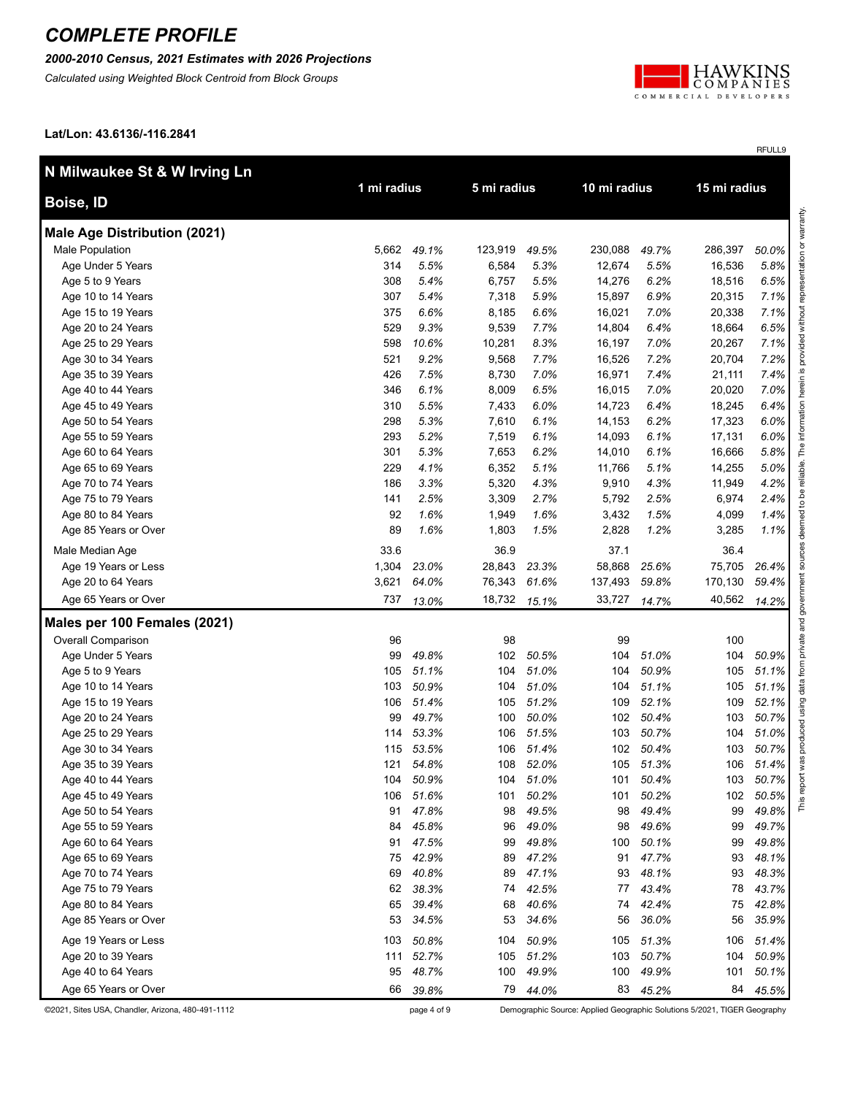### *2000-2010 Census, 2021 Estimates with 2026 Projections*

*Calculated using Weighted Block Centroid from Block Groups*



RFULL9

**Lat/Lon: 43.6136/-116.2841**

| N Milwaukee St & W Irving Ln        |             |           |             |           | 10 mi radius |       | 15 mi radius |         |
|-------------------------------------|-------------|-----------|-------------|-----------|--------------|-------|--------------|---------|
| Boise, ID                           | 1 mi radius |           | 5 mi radius |           |              |       |              |         |
| <b>Male Age Distribution (2021)</b> |             |           |             |           |              |       |              |         |
| Male Population                     | 5,662       | 49.1%     | 123,919     | 49.5%     | 230,088      | 49.7% | 286,397      | 50.0%   |
| Age Under 5 Years                   | 314         | 5.5%      | 6,584       | 5.3%      | 12,674       | 5.5%  | 16,536       | 5.8%    |
| Age 5 to 9 Years                    | 308         | 5.4%      | 6,757       | 5.5%      | 14,276       | 6.2%  | 18,516       | 6.5%    |
| Age 10 to 14 Years                  | 307         | 5.4%      | 7,318       | 5.9%      | 15,897       | 6.9%  | 20,315       | 7.1%    |
| Age 15 to 19 Years                  | 375         | 6.6%      | 8,185       | 6.6%      | 16,021       | 7.0%  | 20,338       | 7.1%    |
| Age 20 to 24 Years                  | 529         | 9.3%      | 9,539       | 7.7%      | 14,804       | 6.4%  | 18,664       | 6.5%    |
| Age 25 to 29 Years                  | 598         | 10.6%     | 10,281      | 8.3%      | 16,197       | 7.0%  | 20,267       | 7.1%    |
| Age 30 to 34 Years                  | 521         | 9.2%      | 9,568       | 7.7%      | 16,526       | 7.2%  | 20,704       | 7.2%    |
| Age 35 to 39 Years                  | 426         | 7.5%      | 8,730       | 7.0%      | 16,971       | 7.4%  | 21,111       | 7.4%    |
| Age 40 to 44 Years                  | 346         | 6.1%      | 8,009       | 6.5%      | 16,015       | 7.0%  | 20,020       | 7.0%    |
| Age 45 to 49 Years                  | 310         | 5.5%      | 7,433       | 6.0%      | 14,723       | 6.4%  | 18,245       | 6.4%    |
| Age 50 to 54 Years                  | 298         | 5.3%      | 7,610       | 6.1%      | 14,153       | 6.2%  | 17,323       | 6.0%    |
| Age 55 to 59 Years                  | 293         | 5.2%      | 7,519       | 6.1%      | 14,093       | 6.1%  | 17,131       | 6.0%    |
| Age 60 to 64 Years                  | 301         | 5.3%      | 7,653       | 6.2%      | 14,010       | 6.1%  | 16,666       | 5.8%    |
| Age 65 to 69 Years                  | 229         | 4.1%      | 6,352       | 5.1%      | 11,766       | 5.1%  | 14,255       | 5.0%    |
| Age 70 to 74 Years                  | 186         | 3.3%      | 5,320       | 4.3%      | 9,910        | 4.3%  | 11,949       | 4.2%    |
| Age 75 to 79 Years                  | 141         | 2.5%      | 3,309       | 2.7%      | 5,792        | 2.5%  | 6,974        | 2.4%    |
| Age 80 to 84 Years                  | 92          | 1.6%      | 1,949       | 1.6%      | 3,432        | 1.5%  | 4,099        | 1.4%    |
| Age 85 Years or Over                | 89          | 1.6%      | 1,803       | 1.5%      | 2,828        | 1.2%  | 3,285        | $1.1\%$ |
| Male Median Age                     | 33.6        |           | 36.9        |           | 37.1         |       | 36.4         |         |
| Age 19 Years or Less                | 1,304       | 23.0%     | 28,843      | 23.3%     | 58,868       | 25.6% | 75,705       | 26.4%   |
| Age 20 to 64 Years                  | 3,621       | 64.0%     | 76,343      | 61.6%     | 137,493      | 59.8% | 170,130      | 59.4%   |
| Age 65 Years or Over                | 737         | 13.0%     | 18,732      | 15.1%     | 33,727       | 14.7% | 40,562       | 14.2%   |
| Males per 100 Females (2021)        |             |           |             |           |              |       |              |         |
| <b>Overall Comparison</b>           | 96          |           | 98          |           | 99           |       | 100          |         |
| Age Under 5 Years                   | 99          | 49.8%     | 102         | 50.5%     | 104          | 51.0% | 104          | 50.9%   |
| Age 5 to 9 Years                    | 105         | 51.1%     | 104         | 51.0%     | 104          | 50.9% | 105          | 51.1%   |
| Age 10 to 14 Years                  | 103         | 50.9%     | 104         | 51.0%     | 104          | 51.1% | 105          | 51.1%   |
| Age 15 to 19 Years                  | 106         | 51.4%     | 105         | 51.2%     | 109          | 52.1% | 109          | 52.1%   |
| Age 20 to 24 Years                  | 99          | 49.7%     | 100         | 50.0%     | 102          | 50.4% | 103          | 50.7%   |
| Age 25 to 29 Years                  | 114         | 53.3%     | 106         | 51.5%     | 103          | 50.7% | 104          | 51.0%   |
| Age 30 to 34 Years                  | 115         | 53.5%     | 106         | 51.4%     | 102          | 50.4% | 103          | 50.7%   |
| Age 35 to 39 Years                  | 121         | 54.8%     | 108         | 52.0%     | 105          | 51.3% | 106          | 51.4%   |
| Age 40 to 44 Years                  |             | 104 50.9% |             | 104 51.0% | 101          | 50.4% | 103          | 50.7%   |
| Age 45 to 49 Years                  | 106         | 51.6%     | 101         | 50.2%     | 101          | 50.2% | 102          | 50.5%   |
| Age 50 to 54 Years                  | 91          | 47.8%     | 98          | 49.5%     | 98           | 49.4% | 99           | 49.8%   |
| Age 55 to 59 Years                  | 84          | 45.8%     | 96          | 49.0%     | 98           | 49.6% | 99           | 49.7%   |
| Age 60 to 64 Years                  | 91          | 47.5%     | 99          | 49.8%     | 100          | 50.1% | 99           | 49.8%   |
| Age 65 to 69 Years                  | 75          | 42.9%     | 89          | 47.2%     | 91           | 47.7% | 93           | 48.1%   |
| Age 70 to 74 Years                  | 69          | 40.8%     | 89          | 47.1%     | 93           | 48.1% | 93           | 48.3%   |
| Age 75 to 79 Years                  | 62          | 38.3%     | 74          | 42.5%     | 77           | 43.4% | 78           | 43.7%   |
| Age 80 to 84 Years                  | 65          | 39.4%     | 68          | 40.6%     | 74           | 42.4% | 75           | 42.8%   |
| Age 85 Years or Over                | 53          | 34.5%     | 53          | 34.6%     | 56           | 36.0% | 56           | 35.9%   |
| Age 19 Years or Less                | 103         | 50.8%     | 104         | 50.9%     | 105          | 51.3% | 106          | 51.4%   |
| Age 20 to 39 Years                  | 111         | 52.7%     | 105         | 51.2%     | 103          | 50.7% | 104          | 50.9%   |
| Age 40 to 64 Years                  | 95          | 48.7%     | 100         | 49.9%     | 100          | 49.9% | 101          | 50.1%   |
| Age 65 Years or Over                | 66          | 39.8%     | 79          | 44.0%     | 83           | 45.2% | 84           | 45.5%   |

©2021, Sites USA, Chandler, Arizona, 480-491-1112 page 4 of 9 Demographic Source: Applied Geographic Solutions 5/2021, TIGER Geography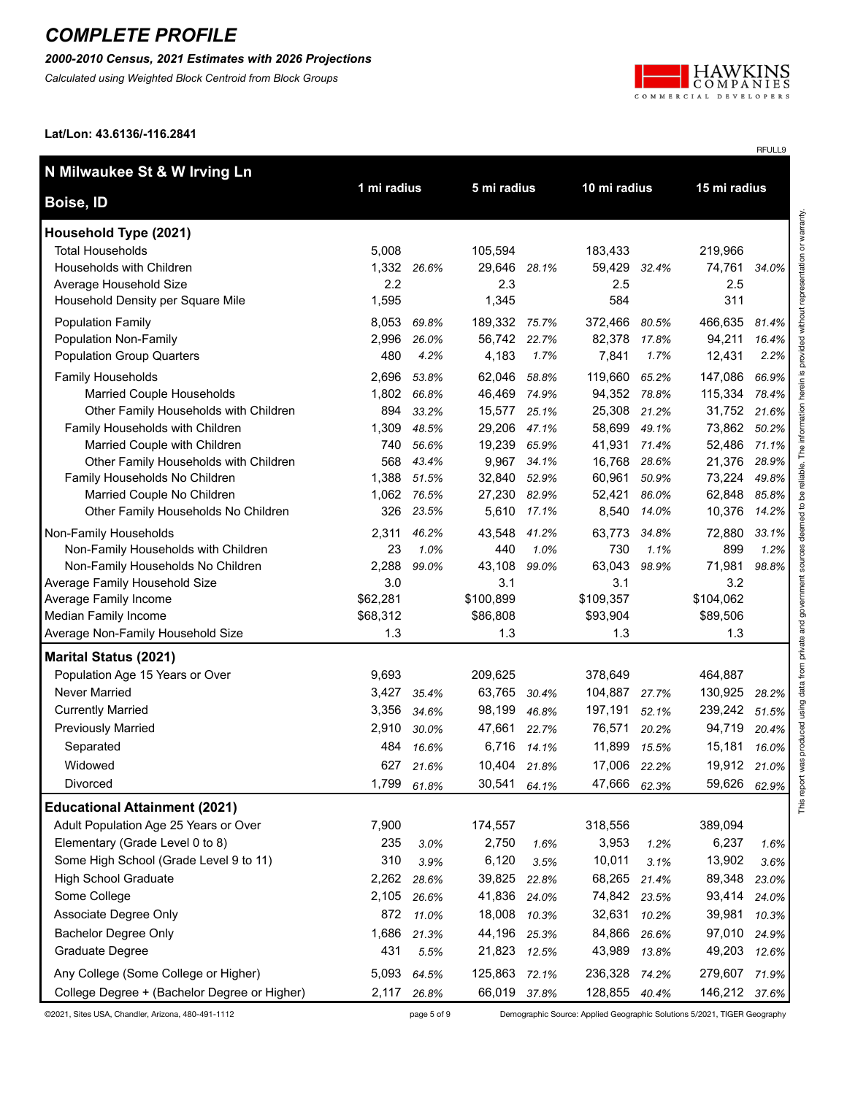*2000-2010 Census, 2021 Estimates with 2026 Projections*

*Calculated using Weighted Block Centroid from Block Groups*



RFULL9

**Lat/Lon: 43.6136/-116.2841**

| N Milwaukee St & W Irving Ln                                           |              |                |                 |                |                  |                |                  |                |  |
|------------------------------------------------------------------------|--------------|----------------|-----------------|----------------|------------------|----------------|------------------|----------------|--|
| Boise, ID                                                              | 1 mi radius  |                | 5 mi radius     |                |                  | 10 mi radius   |                  | 15 mi radius   |  |
| Household Type (2021)                                                  |              |                |                 |                |                  |                |                  |                |  |
| <b>Total Households</b>                                                | 5,008        |                | 105,594         |                | 183,433          |                | 219,966          |                |  |
| Households with Children                                               | 1,332        | 26.6%          | 29,646 28.1%    |                | 59,429           | 32.4%          | 74,761           | 34.0%          |  |
| Average Household Size<br>Household Density per Square Mile            | 2.2<br>1,595 |                | 2.3<br>1,345    |                | 2.5<br>584       |                | 2.5<br>311       |                |  |
| <b>Population Family</b>                                               | 8,053        | 69.8%          | 189,332 75.7%   |                | 372,466          | 80.5%          | 466,635          | 81.4%          |  |
| Population Non-Family                                                  | 2,996        | 26.0%          | 56,742 22.7%    |                | 82,378           | 17.8%          | 94,211           | 16.4%          |  |
| <b>Population Group Quarters</b>                                       | 480          | 4.2%           | 4,183           | 1.7%           | 7,841            | 1.7%           | 12,431           | 2.2%           |  |
| Family Households                                                      | 2,696        | 53.8%          | 62,046          | 58.8%          | 119,660          | 65.2%          | 147,086          | 66.9%          |  |
| Married Couple Households                                              | 1,802        | 66.8%          | 46,469 74.9%    |                | 94,352 78.8%     |                | 115,334          | 78.4%          |  |
| Other Family Households with Children                                  | 894          | 33.2%          | 15,577          | 25.1%          | 25,308           | 21.2%          | 31,752           | 21.6%          |  |
| Family Households with Children                                        | 1,309        | 48.5%          | 29,206          | 47.1%          | 58,699           | 49.1%          | 73,862           | 50.2%          |  |
| Married Couple with Children                                           | 740          | 56.6%          | 19,239          | 65.9%          | 41,931           | 71.4%          | 52,486           | 71.1%          |  |
| Other Family Households with Children<br>Family Households No Children | 568<br>1,388 | 43.4%<br>51.5% | 9,967<br>32,840 | 34.1%<br>52.9% | 16,768<br>60,961 | 28.6%<br>50.9% | 21,376<br>73,224 | 28.9%<br>49.8% |  |
| Married Couple No Children                                             | 1,062        | 76.5%          | 27,230 82.9%    |                | 52,421           | 86.0%          | 62,848           | 85.8%          |  |
| Other Family Households No Children                                    | 326          | 23.5%          | 5,610           | 17.1%          | 8,540            | 14.0%          | 10,376           | 14.2%          |  |
| Non-Family Households                                                  | 2,311        | 46.2%          | 43,548          | 41.2%          | 63,773           | 34.8%          | 72,880           | 33.1%          |  |
| Non-Family Households with Children                                    | 23           | 1.0%           | 440             | 1.0%           | 730              | 1.1%           | 899              | 1.2%           |  |
| Non-Family Households No Children                                      | 2,288        | 99.0%          | 43,108          | 99.0%          | 63,043           | 98.9%          | 71,981           | 98.8%          |  |
| Average Family Household Size                                          | 3.0          |                | 3.1             |                | 3.1              |                | 3.2              |                |  |
| Average Family Income                                                  | \$62,281     |                | \$100,899       |                | \$109,357        |                | \$104,062        |                |  |
| Median Family Income                                                   | \$68,312     |                | \$86,808        |                | \$93,904         |                | \$89,506         |                |  |
| Average Non-Family Household Size                                      | 1.3          |                | 1.3             |                | 1.3              |                | 1.3              |                |  |
| <b>Marital Status (2021)</b>                                           |              |                |                 |                |                  |                |                  |                |  |
| Population Age 15 Years or Over                                        | 9,693        |                | 209,625         |                | 378,649          |                | 464,887          |                |  |
| <b>Never Married</b>                                                   | 3,427        | 35.4%          | 63,765          | 30.4%          | 104,887          | 27.7%          | 130,925          | 28.2%          |  |
| <b>Currently Married</b>                                               | 3,356        | 34.6%          | 98,199          | 46.8%          | 197,191          | 52.1%          | 239,242          | 51.5%          |  |
| <b>Previously Married</b>                                              | 2,910        | 30.0%          | 47,661 22.7%    |                | 76,571           | 20.2%          | 94,719           | 20.4%          |  |
| Separated                                                              | 484          | 16.6%          | 6,716           | 14.1%          | 11,899           | 15.5%          | 15,181           | 16.0%          |  |
| Widowed                                                                |              | 627 21.6%      | 10,404 21.8%    |                | 17,006 22.2%     |                | 19,912           | 21.0%          |  |
| Divorced                                                               | 1,799        | 61.8%          | 30,541          | 64.1%          | 47,666           | 62.3%          | 59,626           | 62.9%          |  |
| <b>Educational Attainment (2021)</b>                                   |              |                |                 |                |                  |                |                  |                |  |
| Adult Population Age 25 Years or Over                                  | 7,900        |                | 174,557         |                | 318,556          |                | 389,094          |                |  |
| Elementary (Grade Level 0 to 8)                                        | 235          | 3.0%           | 2,750           | 1.6%           | 3,953            | 1.2%           | 6,237            | 1.6%           |  |
| Some High School (Grade Level 9 to 11)                                 | 310          | 3.9%           | 6,120           | 3.5%           | 10,011           | 3.1%           | 13,902           | 3.6%           |  |
| <b>High School Graduate</b>                                            | 2,262        | 28.6%          | 39,825          | 22.8%          | 68,265           | 21.4%          | 89,348           | 23.0%          |  |
| Some College                                                           | 2,105        | 26.6%          | 41,836          | 24.0%          | 74,842           | 23.5%          | 93,414           | 24.0%          |  |
| Associate Degree Only                                                  | 872          | 11.0%          | 18,008          | 10.3%          | 32,631 10.2%     |                | 39,981           | 10.3%          |  |
| <b>Bachelor Degree Only</b>                                            | 1,686        | 21.3%          | 44,196          | 25.3%          | 84,866           | 26.6%          | 97,010           | 24.9%          |  |
| Graduate Degree                                                        | 431          | 5.5%           | 21,823          | 12.5%          | 43,989           | 13.8%          | 49,203           | 12.6%          |  |
| Any College (Some College or Higher)                                   | 5,093        | 64.5%          | 125,863         | 72.1%          | 236,328 74.2%    |                | 279,607          | 71.9%          |  |
| College Degree + (Bachelor Degree or Higher)                           | 2,117        | 26.8%          | 66,019 37.8%    |                | 128,855 40.4%    |                | 146,212          | 37.6%          |  |

©2021, Sites USA, Chandler, Arizona, 480-491-1112 page 5 of 9 Demographic Source: Applied Geographic Solutions 5/2021, TIGER Geography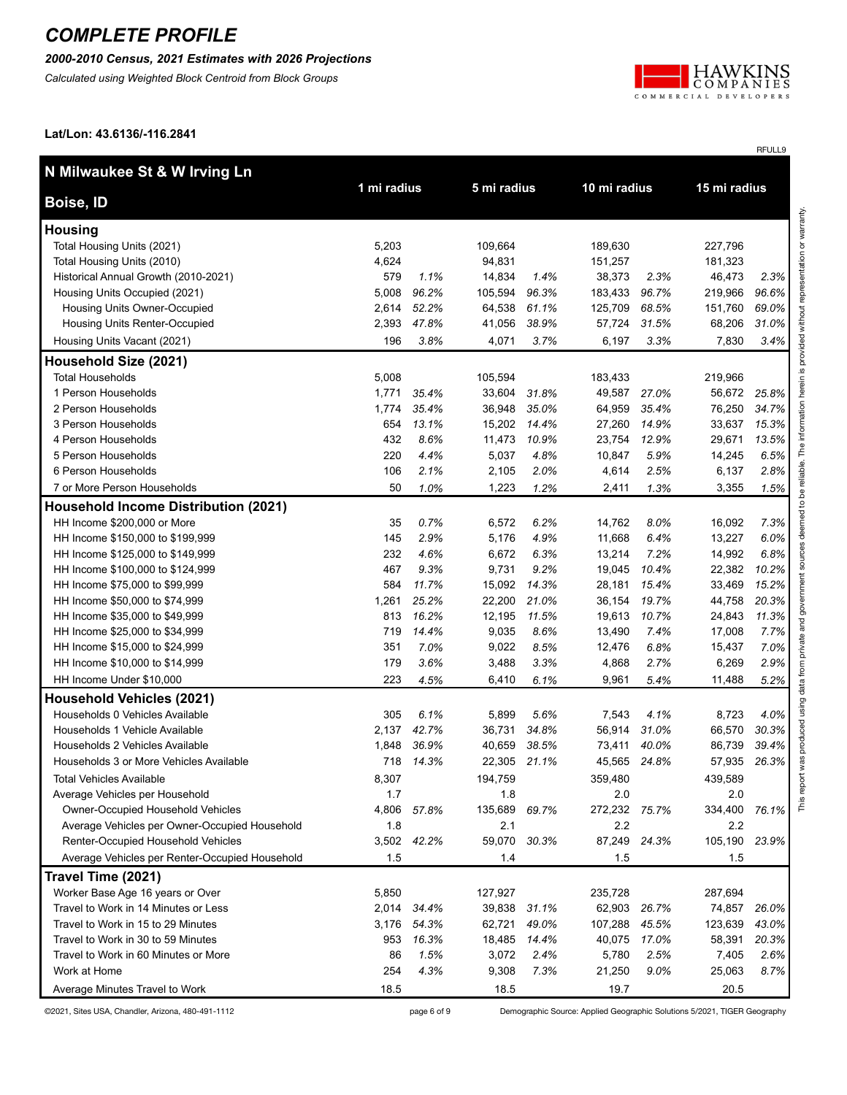#### *2000-2010 Census, 2021 Estimates with 2026 Projections*

*Calculated using Weighted Block Centroid from Block Groups*



RFULL9

**Lat/Lon: 43.6136/-116.2841**

| N Milwaukee St & W Irving Ln                         |             |              |              |       |               |       |              |       |                         |
|------------------------------------------------------|-------------|--------------|--------------|-------|---------------|-------|--------------|-------|-------------------------|
| Boise, ID                                            | 1 mi radius |              | 5 mi radius  |       | 10 mi radius  |       | 15 mi radius |       |                         |
| <b>Housing</b>                                       |             |              |              |       |               |       |              |       | esentation or warranty. |
| Total Housing Units (2021)                           | 5,203       |              | 109,664      |       | 189,630       |       | 227,796      |       |                         |
| Total Housing Units (2010)                           | 4,624       |              | 94,831       |       | 151,257       |       | 181,323      |       |                         |
| Historical Annual Growth (2010-2021)                 | 579         | 1.1%         | 14,834       | 1.4%  | 38,373        | 2.3%  | 46,473       | 2.3%  |                         |
| Housing Units Occupied (2021)                        | 5,008       | 96.2%        | 105,594      | 96.3% | 183,433       | 96.7% | 219,966      | 96.6% |                         |
| Housing Units Owner-Occupied                         | 2,614       | 52.2%        | 64,538       | 61.1% | 125,709       | 68.5% | 151,760      | 69.0% |                         |
| Housing Units Renter-Occupied                        | 2,393       | 47.8%        | 41,056       | 38.9% | 57,724        | 31.5% | 68,206       | 31.0% | without                 |
| Housing Units Vacant (2021)                          | 196         | 3.8%         | 4,071        | 3.7%  | 6,197         | 3.3%  | 7,830        | 3.4%  |                         |
| Household Size (2021)                                |             |              |              |       |               |       |              |       | provided                |
| <b>Total Households</b>                              | 5,008       |              | 105,594      |       | 183,433       |       | 219,966      |       | $\bar{\bm{\omega}}$     |
| 1 Person Households                                  | 1,771       | 35.4%        | 33,604       | 31.8% | 49,587        | 27.0% | 56,672       | 25.8% | herein                  |
| 2 Person Households                                  | 1,774       | 35.4%        | 36,948       | 35.0% | 64,959        | 35.4% | 76,250       | 34.7% |                         |
| 3 Person Households                                  | 654         | 13.1%        | 15,202       | 14.4% | 27,260        | 14.9% | 33,637       | 15.3% | inform                  |
| 4 Person Households                                  | 432         | 8.6%         | 11,473       | 10.9% | 23,754        | 12.9% | 29,671       | 13.5% |                         |
| 5 Person Households                                  | 220         | 4.4%         | 5,037        | 4.8%  | 10,847        | 5.9%  | 14,245       | 6.5%  | The                     |
| 6 Person Households                                  | 106         | 2.1%         | 2,105        | 2.0%  | 4,614         | 2.5%  | 6,137        | 2.8%  | liable.                 |
| 7 or More Person Households                          | 50          | 1.0%         | 1,223        | 1.2%  | 2,411         | 1.3%  | 3,355        | 1.5%  | ತಿ                      |
| <b>Household Income Distribution (2021)</b>          |             |              |              |       |               |       |              |       | $\mathbf{S}$            |
| HH Income \$200,000 or More                          | 35          | 0.7%         | 6,572        | 6.2%  | 14,762        | 8.0%  | 16,092       | 7.3%  | deemed                  |
| HH Income \$150,000 to \$199,999                     | 145         | 2.9%         | 5,176        | 4.9%  | 11,668        | 6.4%  | 13,227       | 6.0%  |                         |
| HH Income \$125,000 to \$149,999                     | 232         | 4.6%         | 6,672        | 6.3%  | 13,214        | 7.2%  | 14,992       | 6.8%  |                         |
| HH Income \$100,000 to \$124,999                     | 467         | 9.3%         | 9,731        | 9.2%  | 19,045        | 10.4% | 22,382       | 10.2% |                         |
| HH Income \$75,000 to \$99,999                       | 584         | 11.7%        | 15,092       | 14.3% | 28,181        | 15.4% | 33,469       | 15.2% |                         |
| HH Income \$50,000 to \$74,999                       | 1,261       | 25.2%        | 22,200       | 21.0% | 36,154        | 19.7% | 44,758       | 20.3% |                         |
| HH Income \$35,000 to \$49,999                       | 813         | 16.2%        | 12,195       | 11.5% | 19,613        | 10.7% | 24,843       | 11.3% | and                     |
| HH Income \$25,000 to \$34,999                       | 719         | 14.4%        | 9,035        | 8.6%  | 13,490        | 7.4%  | 17,008       | 7.7%  |                         |
| HH Income \$15,000 to \$24,999                       | 351         | 7.0%         | 9,022        | 8.5%  | 12,476        | 6.8%  | 15,437       | 7.0%  | private                 |
| HH Income \$10,000 to \$14,999                       | 179         | 3.6%         | 3,488        | 3.3%  | 4,868         | 2.7%  | 6,269        | 2.9%  |                         |
| HH Income Under \$10,000                             | 223         | 4.5%         | 6,410        | 6.1%  | 9,961         | 5.4%  | 11,488       | 5.2%  | data                    |
| <b>Household Vehicles (2021)</b>                     |             |              |              |       |               |       |              |       | using                   |
| Households 0 Vehicles Available                      | 305         | 6.1%         | 5,899        | 5.6%  | 7,543         | 4.1%  | 8,723        | 4.0%  |                         |
| Households 1 Vehicle Available                       | 2,137       | 42.7%        | 36,731       | 34.8% | 56,914        | 31.0% | 66,570       | 30.3% | uced                    |
| Households 2 Vehicles Available                      | 1,848       | 36.9%        | 40,659       | 38.5% | 73,411        | 40.0% | 86,739       | 39.4% | prodi                   |
| Households 3 or More Vehicles Available              | 718         | 14.3%        | 22,305 21.1% |       | 45,565        | 24.8% | 57,935       | 26.3% |                         |
| <b>Total Vehicles Available</b>                      | 8,307       |              | 194,759      |       | 359,480       |       | 439,589      |       | $\overline{5}$          |
| Average Vehicles per Household                       | 1.7         |              | 1.8          |       | 2.0           |       | 2.0          |       | This rep                |
| Owner-Occupied Household Vehicles                    | 4,806       | 57.8%        | 135,689      | 69.7% | 272,232 75.7% |       | 334,400      | 76.1% |                         |
| Average Vehicles per Owner-Occupied Household        | 1.8         |              | 2.1          |       | 2.2           |       | 2.2          |       |                         |
| Renter-Occupied Household Vehicles                   | 3,502       | 42.2%        | 59,070       | 30.3% | 87,249        | 24.3% | 105,190      | 23.9% |                         |
| Average Vehicles per Renter-Occupied Household       | 1.5         |              | 1.4          |       | 1.5           |       | 1.5          |       |                         |
| Travel Time (2021)                                   |             |              |              |       |               |       |              |       |                         |
| Worker Base Age 16 years or Over                     | 5,850       |              | 127,927      |       | 235,728       |       | 287,694      |       |                         |
| Travel to Work in 14 Minutes or Less                 | 2,014       | 34.4%        | 39,838       | 31.1% | 62,903        | 26.7% | 74,857       | 26.0% |                         |
| Travel to Work in 15 to 29 Minutes                   | 3,176       | 54.3%        | 62,721       | 49.0% | 107,288       | 45.5% | 123,639      | 43.0% |                         |
| Travel to Work in 30 to 59 Minutes                   | 953         | 16.3%        | 18,485       | 14.4% | 40,075        | 17.0% | 58,391       | 20.3% |                         |
| Travel to Work in 60 Minutes or More<br>Work at Home | 86<br>254   | 1.5%<br>4.3% | 3,072        | 2.4%  | 5,780         | 2.5%  | 7,405        | 2.6%  |                         |
|                                                      |             |              | 9,308        | 7.3%  | 21,250        | 9.0%  | 25,063       | 8.7%  |                         |
| Average Minutes Travel to Work                       | 18.5        |              | 18.5         |       | 19.7          |       | 20.5         |       |                         |

©2021, Sites USA, Chandler, Arizona, 480-491-1112 page 6 of 9 Demographic Source: Applied Geographic Solutions 5/2021, TIGER Geography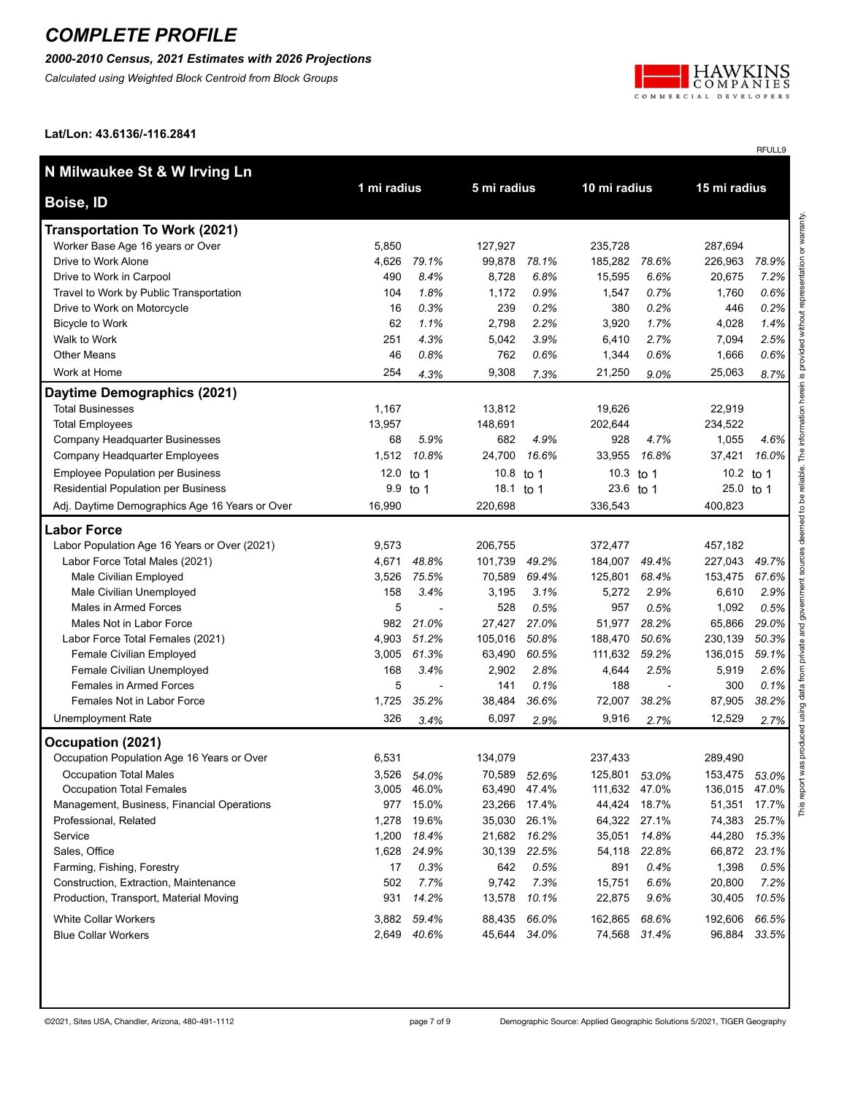### *2000-2010 Census, 2021 Estimates with 2026 Projections*

*Calculated using Weighted Block Centroid from Block Groups*



RFULL9

**Lat/Lon: 43.6136/-116.2841**

| N Milwaukee St & W Irving Ln                   | 1 mi radius |             | 5 mi radius  |       | 10 mi radius  |              | 15 mi radius  |       |  |
|------------------------------------------------|-------------|-------------|--------------|-------|---------------|--------------|---------------|-------|--|
| <b>Boise, ID</b>                               |             |             |              |       |               |              |               |       |  |
| <b>Transportation To Work (2021)</b>           |             |             |              |       |               |              |               |       |  |
| Worker Base Age 16 years or Over               | 5,850       |             | 127,927      |       | 235,728       |              | 287,694       |       |  |
| Drive to Work Alone                            | 4,626       | 79.1%       | 99,878       | 78.1% | 185,282       | 78.6%        | 226,963       | 78.9% |  |
| Drive to Work in Carpool                       | 490         | 8.4%        | 8,728        | 6.8%  | 15,595        | 6.6%         | 20,675        | 7.2%  |  |
| Travel to Work by Public Transportation        | 104         | 1.8%        | 1,172        | 0.9%  | 1,547         | 0.7%         | 1,760         | 0.6%  |  |
| Drive to Work on Motorcycle                    | 16          | 0.3%        | 239          | 0.2%  | 380           | 0.2%         | 446           | 0.2%  |  |
| <b>Bicycle to Work</b>                         | 62          | 1.1%        | 2,798        | 2.2%  | 3,920         | 1.7%         | 4,028         | 1.4%  |  |
| Walk to Work                                   | 251         | 4.3%        | 5,042        | 3.9%  | 6,410         | 2.7%         | 7,094         | 2.5%  |  |
| <b>Other Means</b>                             | 46          | 0.8%        | 762          | 0.6%  | 1,344         | 0.6%         | 1,666         | 0.6%  |  |
| Work at Home                                   | 254         | 4.3%        | 9,308        | 7.3%  | 21,250        | 9.0%         | 25,063        | 8.7%  |  |
| Daytime Demographics (2021)                    |             |             |              |       |               |              |               |       |  |
| <b>Total Businesses</b>                        | 1,167       |             | 13,812       |       | 19,626        |              | 22,919        |       |  |
| <b>Total Employees</b>                         | 13,957      |             | 148,691      |       | 202,644       |              | 234,522       |       |  |
| Company Headquarter Businesses                 | 68          | 5.9%        | 682          | 4.9%  | 928           | 4.7%         | 1,055         | 4.6%  |  |
| Company Headquarter Employees                  | 1,512       | 10.8%       | 24,700       | 16.6% | 33,955        | 16.8%        | 37,421        | 16.0% |  |
| <b>Employee Population per Business</b>        | 12.0 to 1   |             | 10.8         | to 1  | 10.3 to 1     |              | 10.2 to 1     |       |  |
| Residential Population per Business            |             | 9.9 to 1    | 18.1 to 1    |       | 23.6 to 1     |              | 25.0 to 1     |       |  |
| Adj. Daytime Demographics Age 16 Years or Over | 16,990      |             | 220,698      |       | 336,543       |              | 400,823       |       |  |
| <b>Labor Force</b>                             |             |             |              |       |               |              |               |       |  |
| Labor Population Age 16 Years or Over (2021)   | 9,573       |             | 206,755      |       | 372,477       |              | 457,182       |       |  |
| Labor Force Total Males (2021)                 | 4,671       | 48.8%       | 101,739      | 49.2% | 184,007       | 49.4%        | 227,043       | 49.7% |  |
| Male Civilian Employed                         | 3,526       | 75.5%       | 70,589       | 69.4% | 125,801       | 68.4%        | 153,475       | 67.6% |  |
| Male Civilian Unemployed                       | 158         | 3.4%        | 3,195        | 3.1%  | 5,272         | 2.9%         | 6,610         | 2.9%  |  |
| Males in Armed Forces                          | 5           |             | 528          | 0.5%  | 957           | 0.5%         | 1,092         | 0.5%  |  |
| Males Not in Labor Force                       | 982         | 21.0%       | 27,427       | 27.0% | 51,977        | 28.2%        | 65,866        | 29.0% |  |
| Labor Force Total Females (2021)               | 4,903       | 51.2%       | 105,016      | 50.8% | 188,470       | 50.6%        | 230,139       | 50.3% |  |
| Female Civilian Employed                       | 3,005       | 61.3%       | 63,490       | 60.5% | 111,632       | 59.2%        | 136,015       | 59.1% |  |
| Female Civilian Unemployed                     | 168         | 3.4%        | 2,902        | 2.8%  | 4,644         | 2.5%         | 5,919         | 2.6%  |  |
| <b>Females in Armed Forces</b>                 | 5           |             | 141          | 0.1%  | 188           |              | 300           | 0.1%  |  |
| Females Not in Labor Force                     | 1,725       | 35.2%       | 38,484       | 36.6% | 72,007        | 38.2%        | 87,905        | 38.2% |  |
| <b>Unemployment Rate</b>                       | 326         | 3.4%        | 6,097        | 2.9%  | 9,916         | 2.7%         | 12,529        | 2.7%  |  |
| Occupation (2021)                              |             |             |              |       |               |              |               |       |  |
| Occupation Population Age 16 Years or Over     | 6,531       |             | 134,079      |       | 237,433       |              | 289,490       |       |  |
| <b>Occupation Total Males</b>                  | 3,526       | 54.0%       | 70,589       | 52.6% | 125,801 53.0% |              | 153,475       | 53.0% |  |
| <b>Occupation Total Females</b>                |             | 3,005 46.0% | 63,490 47.4% |       | 111,632 47.0% |              | 136,015 47.0% |       |  |
| Management, Business, Financial Operations     | 977         | 15.0%       | 23,266 17.4% |       |               | 44,424 18.7% | 51,351        | 17.7% |  |
| Professional, Related                          | 1,278       | 19.6%       | 35,030 26.1% |       |               | 64,322 27.1% | 74,383        | 25.7% |  |
| Service                                        | 1,200       | 18.4%       | 21,682 16.2% |       |               | 35,051 14.8% | 44,280        | 15.3% |  |
| Sales, Office                                  | 1,628       | 24.9%       | 30,139 22.5% |       | 54,118        | 22.8%        | 66,872        | 23.1% |  |
| Farming, Fishing, Forestry                     | 17          | 0.3%        | 642          | 0.5%  | 891           | 0.4%         | 1,398         | 0.5%  |  |
| Construction, Extraction, Maintenance          | 502         | 7.7%        | 9,742        | 7.3%  | 15,751        | 6.6%         | 20,800        | 7.2%  |  |
| Production, Transport, Material Moving         | 931         | 14.2%       | 13,578 10.1% |       | 22,875        | 9.6%         | 30,405        | 10.5% |  |
| <b>White Collar Workers</b>                    | 3,882       | 59.4%       | 88,435 66.0% |       | 162,865       | 68.6%        | 192,606       | 66.5% |  |
| <b>Blue Collar Workers</b>                     |             | 2,649 40.6% | 45,644 34.0% |       |               | 74,568 31.4% | 96,884        | 33.5% |  |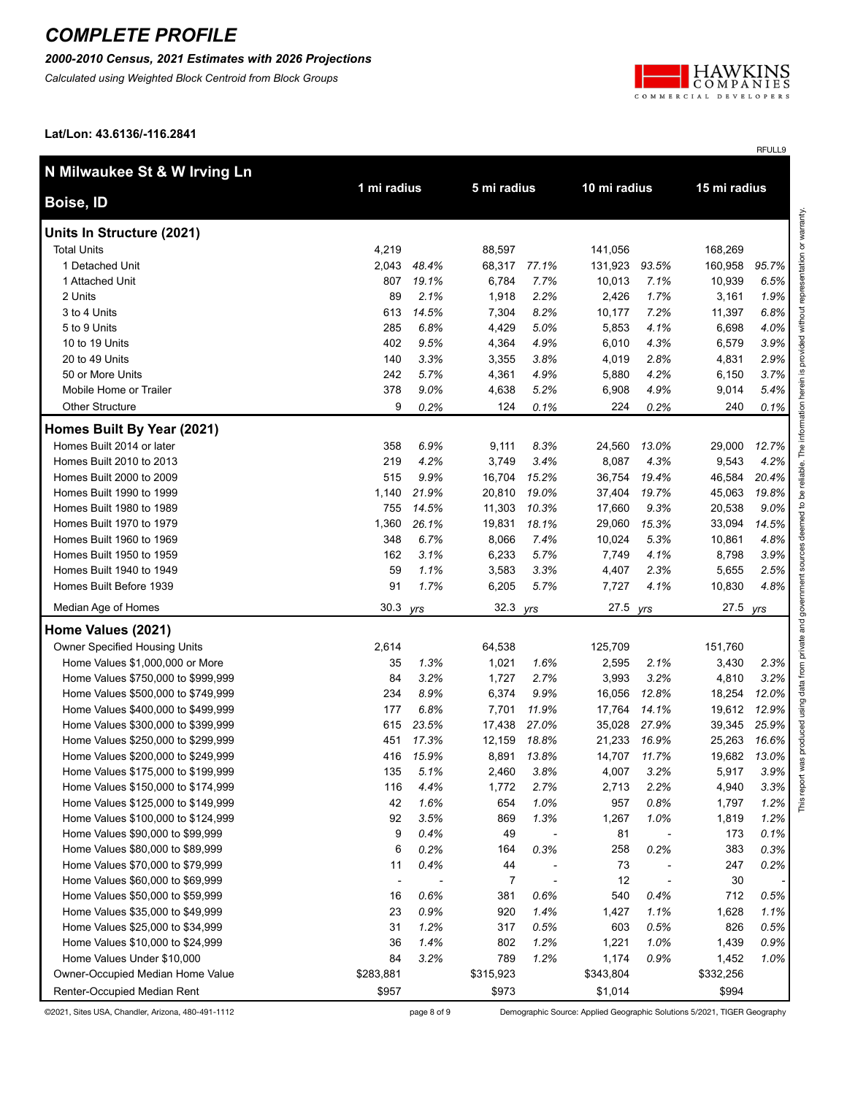#### *2000-2010 Census, 2021 Estimates with 2026 Projections*

*Calculated using Weighted Block Centroid from Block Groups*



RFULL9

**Lat/Lon: 43.6136/-116.2841**

| N Milwaukee St & W Irving Ln       |             |       |                |       |           |              |           |              |  |
|------------------------------------|-------------|-------|----------------|-------|-----------|--------------|-----------|--------------|--|
| <b>Boise, ID</b>                   | 1 mi radius |       | 5 mi radius    |       |           | 10 mi radius |           | 15 mi radius |  |
| Units In Structure (2021)          |             |       |                |       |           |              |           |              |  |
| <b>Total Units</b>                 | 4,219       |       | 88,597         |       | 141,056   |              | 168,269   |              |  |
| 1 Detached Unit                    | 2,043       | 48.4% | 68,317         | 77.1% | 131,923   | 93.5%        | 160,958   | 95.7%        |  |
| 1 Attached Unit                    | 807         | 19.1% | 6,784          | 7.7%  | 10,013    | 7.1%         | 10,939    | 6.5%         |  |
| 2 Units                            | 89          | 2.1%  | 1,918          | 2.2%  | 2,426     | 1.7%         | 3,161     | 1.9%         |  |
| 3 to 4 Units                       | 613         | 14.5% | 7,304          | 8.2%  | 10,177    | 7.2%         | 11,397    | 6.8%         |  |
| 5 to 9 Units                       | 285         | 6.8%  | 4,429          | 5.0%  | 5,853     | 4.1%         | 6,698     | 4.0%         |  |
| 10 to 19 Units                     | 402         | 9.5%  | 4,364          | 4.9%  | 6,010     | 4.3%         | 6,579     | 3.9%         |  |
| 20 to 49 Units                     | 140         | 3.3%  | 3,355          | 3.8%  | 4,019     | 2.8%         | 4,831     | 2.9%         |  |
| 50 or More Units                   | 242         | 5.7%  | 4,361          | 4.9%  | 5,880     | 4.2%         | 6,150     | 3.7%         |  |
| Mobile Home or Trailer             | 378         | 9.0%  | 4,638          | 5.2%  | 6,908     | 4.9%         | 9,014     | 5.4%         |  |
| <b>Other Structure</b>             | 9           | 0.2%  | 124            | 0.1%  | 224       | 0.2%         | 240       | 0.1%         |  |
| Homes Built By Year (2021)         |             |       |                |       |           |              |           |              |  |
| Homes Built 2014 or later          | 358         | 6.9%  | 9,111          | 8.3%  | 24,560    | 13.0%        | 29,000    | 12.7%        |  |
| Homes Built 2010 to 2013           | 219         | 4.2%  | 3,749          | 3.4%  | 8,087     | 4.3%         | 9,543     | 4.2%         |  |
| Homes Built 2000 to 2009           | 515         | 9.9%  | 16,704         | 15.2% | 36,754    | 19.4%        | 46,584    | 20.4%        |  |
| Homes Built 1990 to 1999           | 1,140       | 21.9% | 20,810         | 19.0% | 37,404    | 19.7%        | 45,063    | 19.8%        |  |
| Homes Built 1980 to 1989           | 755         | 14.5% | 11,303         | 10.3% | 17,660    | 9.3%         | 20,538    | 9.0%         |  |
| Homes Built 1970 to 1979           | 1,360       | 26.1% | 19,831         | 18.1% | 29,060    | 15.3%        | 33,094    | 14.5%        |  |
| Homes Built 1960 to 1969           | 348         | 6.7%  | 8,066          | 7.4%  | 10,024    | 5.3%         | 10,861    | 4.8%         |  |
| Homes Built 1950 to 1959           | 162         | 3.1%  | 6,233          | 5.7%  | 7,749     | 4.1%         | 8,798     | 3.9%         |  |
| Homes Built 1940 to 1949           | 59          | 1.1%  | 3,583          | 3.3%  | 4,407     | 2.3%         | 5,655     | 2.5%         |  |
| Homes Built Before 1939            | 91          | 1.7%  | 6,205          | 5.7%  | 7,727     | 4.1%         | 10,830    | 4.8%         |  |
| Median Age of Homes                | 30.3        | yrs   | 32.3           | yrs   | 27.5      | yrs          | 27.5 yrs  |              |  |
| Home Values (2021)                 |             |       |                |       |           |              |           |              |  |
| Owner Specified Housing Units      | 2,614       |       | 64,538         |       | 125,709   |              | 151,760   |              |  |
| Home Values \$1,000,000 or More    | 35          | 1.3%  | 1,021          | 1.6%  | 2,595     | 2.1%         | 3,430     | 2.3%         |  |
| Home Values \$750,000 to \$999,999 | 84          | 3.2%  | 1,727          | 2.7%  | 3,993     | 3.2%         | 4,810     | 3.2%         |  |
| Home Values \$500,000 to \$749,999 | 234         | 8.9%  | 6,374          | 9.9%  | 16,056    | 12.8%        | 18,254    | 12.0%        |  |
| Home Values \$400,000 to \$499,999 | 177         | 6.8%  | 7,701          | 11.9% | 17,764    | 14.1%        | 19,612    | 12.9%        |  |
| Home Values \$300,000 to \$399,999 | 615         | 23.5% | 17,438         | 27.0% | 35,028    | 27.9%        | 39,345    | 25.9%        |  |
| Home Values \$250,000 to \$299,999 | 451         | 17.3% | 12,159         | 18.8% | 21,233    | 16.9%        | 25,263    | 16.6%        |  |
| Home Values \$200,000 to \$249,999 | 416         | 15.9% | 8,891          | 13.8% | 14,707    | 11.7%        | 19,682    | 13.0%        |  |
| Home Values \$175,000 to \$199,999 | 135         | 5.1%  | 2,460          | 3.8%  | 4,007     | 3.2%         | 5,917     | 3.9%         |  |
| Home Values \$150,000 to \$174,999 | 116         | 4.4%  | 1,772          | 2.7%  | 2,713     | 2.2%         | 4,940     | 3.3%         |  |
| Home Values \$125,000 to \$149,999 | 42          | 1.6%  | 654            | 1.0%  | 957       | 0.8%         | 1,797     | 1.2%         |  |
| Home Values \$100,000 to \$124,999 | 92          | 3.5%  | 869            | 1.3%  | 1,267     | 1.0%         | 1,819     | 1.2%         |  |
| Home Values \$90,000 to \$99,999   | 9           | 0.4%  | 49             |       | 81        |              | 173       | 0.1%         |  |
| Home Values \$80,000 to \$89,999   | 6           | 0.2%  | 164            | 0.3%  | 258       | 0.2%         | 383       | 0.3%         |  |
| Home Values \$70,000 to \$79,999   | 11          | 0.4%  | 44             |       | 73        |              | 247       | 0.2%         |  |
| Home Values \$60,000 to \$69,999   |             |       | $\overline{7}$ |       | 12        |              | 30        |              |  |
| Home Values \$50,000 to \$59,999   | 16          | 0.6%  | 381            | 0.6%  | 540       | 0.4%         | 712       | 0.5%         |  |
| Home Values \$35,000 to \$49,999   | 23          | 0.9%  | 920            | 1.4%  | 1,427     | 1.1%         | 1,628     | 1.1%         |  |
| Home Values \$25,000 to \$34,999   | 31          | 1.2%  | 317            | 0.5%  | 603       | 0.5%         | 826       | 0.5%         |  |
| Home Values \$10,000 to \$24,999   | 36          | 1.4%  | 802            | 1.2%  | 1,221     | 1.0%         | 1,439     | 0.9%         |  |
| Home Values Under \$10,000         | 84          | 3.2%  | 789            | 1.2%  | 1,174     | 0.9%         | 1,452     | 1.0%         |  |
| Owner-Occupied Median Home Value   | \$283,881   |       | \$315,923      |       | \$343,804 |              | \$332,256 |              |  |
| Renter-Occupied Median Rent        | \$957       |       | \$973          |       | \$1,014   |              | \$994     |              |  |

©2021, Sites USA, Chandler, Arizona, 480-491-1112 page 8 of 9 Demographic Source: Applied Geographic Solutions 5/2021, TIGER Geography